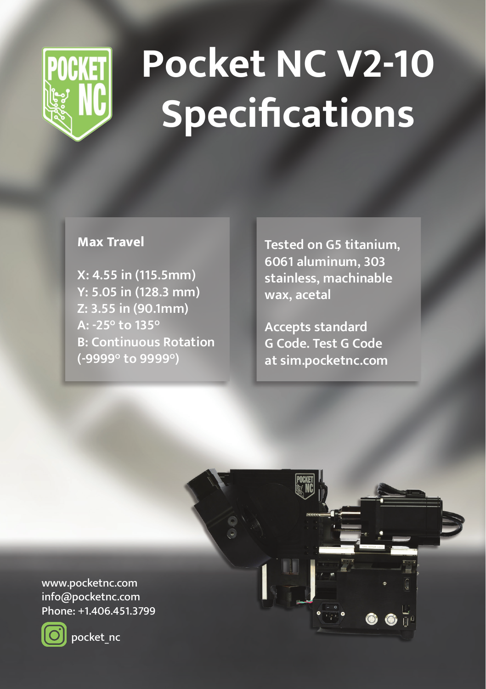

## **Pocket NC V2-10 Specifications**

## **Max Travel**

**X: 4.55 in (115.5mm) Y: 5.05 in (128.3 mm) Z: 3.55 in (90.1mm) A: -25° to 135° B: Continuous Rotation (-9999° to 9999°)**

**Tested on G5 titanium, 6061 aluminum, 303 stainless, machinable wax, acetal**

**Accepts standard G Code. Test G Code at sim.pocketnc.com**

www.pocketnc.com info@pocketnc.com Phone: +1.406.451.3799



pocket\_nc